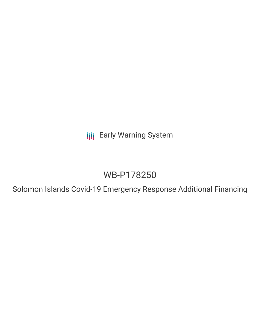**III** Early Warning System

# WB-P178250

Solomon Islands Covid-19 Emergency Response Additional Financing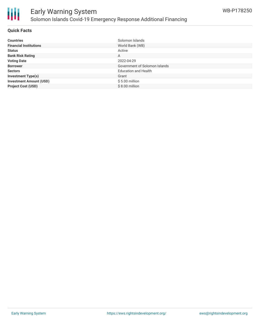

# **Quick Facts**

| <b>Countries</b>               | Solomon Islands               |
|--------------------------------|-------------------------------|
| <b>Financial Institutions</b>  | World Bank (WB)               |
| <b>Status</b>                  | Active                        |
| <b>Bank Risk Rating</b>        | A                             |
| <b>Voting Date</b>             | 2022-04-29                    |
| <b>Borrower</b>                | Government of Solomon Islands |
| <b>Sectors</b>                 | <b>Education and Health</b>   |
| <b>Investment Type(s)</b>      | Grant                         |
| <b>Investment Amount (USD)</b> | $$5.00$ million               |
| <b>Project Cost (USD)</b>      | $$8.00$ million               |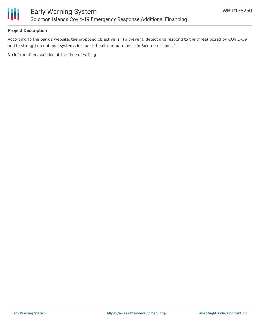

# **Project Description**

According to the bank's website, the proposed objective is "To prevent, detect and respond to the threat posed by COVID-19 and to strengthen national systems for public health preparedness in Solomon Islands."

No information available at the time of writing.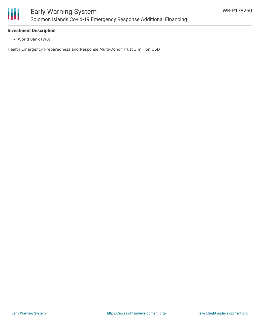

#### **Investment Description**

World Bank (WB)

Health Emergency Preparedness and Response Multi-Donor Trust 3 million USD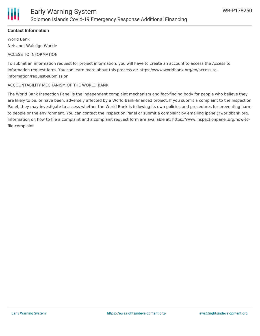

# **Contact Information**

World Bank Netsanet Walelign Workie

#### ACCESS TO INFORMATION

To submit an information request for project information, you will have to create an account to access the Access to Information request form. You can learn more about this process at: https://www.worldbank.org/en/access-toinformation/request-submission

#### ACCOUNTABILITY MECHANISM OF THE WORLD BANK

The World Bank Inspection Panel is the independent complaint mechanism and fact-finding body for people who believe they are likely to be, or have been, adversely affected by a World Bank-financed project. If you submit a complaint to the Inspection Panel, they may investigate to assess whether the World Bank is following its own policies and procedures for preventing harm to people or the environment. You can contact the Inspection Panel or submit a complaint by emailing ipanel@worldbank.org. Information on how to file a complaint and a complaint request form are available at: https://www.inspectionpanel.org/how-tofile-complaint